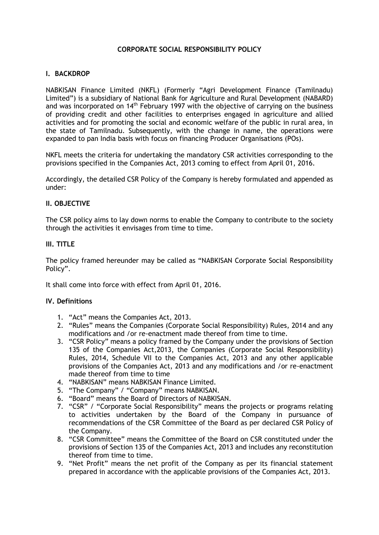# **CORPORATE SOCIAL RESPONSIBILITY POLICY**

### **I. BACKDROP**

NABKISAN Finance Limited (NKFL) (Formerly "Agri Development Finance (Tamilnadu) Limited") is a subsidiary of National Bank for Agriculture and Rural Development (NABARD) and was incorporated on 14th February 1997 with the objective of carrying on the business of providing credit and other facilities to enterprises engaged in agriculture and allied activities and for promoting the social and economic welfare of the public in rural area, in the state of Tamilnadu. Subsequently, with the change in name, the operations were expanded to pan India basis with focus on financing Producer Organisations (POs).

NKFL meets the criteria for undertaking the mandatory CSR activities corresponding to the provisions specified in the Companies Act, 2013 coming to effect from April 01, 2016.

Accordingly, the detailed CSR Policy of the Company is hereby formulated and appended as under:

#### **II. OBJECTIVE**

The CSR policy aims to lay down norms to enable the Company to contribute to the society through the activities it envisages from time to time.

#### **III. TITLE**

The policy framed hereunder may be called as "NABKISAN Corporate Social Responsibility Policy".

It shall come into force with effect from April 01, 2016.

#### **IV. Definitions**

- 1. "Act" means the Companies Act, 2013.
- 2. "Rules" means the Companies (Corporate Social Responsibility) Rules, 2014 and any modifications and /or re-enactment made thereof from time to time.
- 3. "CSR Policy" means a policy framed by the Company under the provisions of Section 135 of the Companies Act,2013, the Companies (Corporate Social Responsibility) Rules, 2014, Schedule VII to the Companies Act, 2013 and any other applicable provisions of the Companies Act, 2013 and any modifications and /or re-enactment made thereof from time to time
- 4. "NABKISAN" means NABKISAN Finance Limited.
- 5. "The Company" / "Company" means NABKISAN.
- 6. "Board" means the Board of Directors of NABKISAN.
- 7. "CSR" / "Corporate Social Responsibility" means the projects or programs relating to activities undertaken by the Board of the Company in pursuance of recommendations of the CSR Committee of the Board as per declared CSR Policy of the Company.
- 8. "CSR Committee" means the Committee of the Board on CSR constituted under the provisions of Section 135 of the Companies Act, 2013 and includes any reconstitution thereof from time to time.
- 9. "Net Profit" means the net profit of the Company as per its financial statement prepared in accordance with the applicable provisions of the Companies Act, 2013.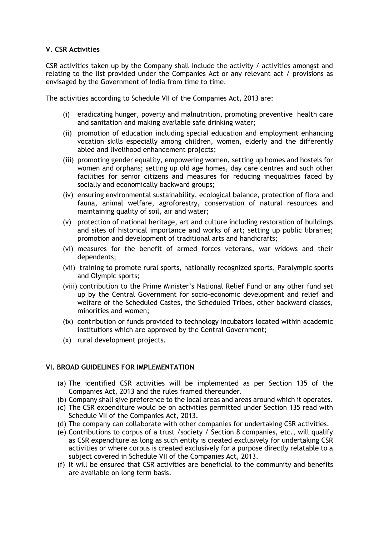## **V. CSR Activities**

CSR activities taken up by the Company shall include the activity / activities amongst and relating to the list provided under the Companies Act or any relevant act / provisions as envisaged by the Government of India from time to time.

The activities according to Schedule VII of the Companies Act, 2013 are:

- (i) eradicating hunger, poverty and malnutrition, promoting preventive health care and sanitation and making available safe drinking water;
- (ii) promotion of education including special education and employment enhancing vocation skills especially among children, women, elderly and the differently abled and livelihood enhancement projects;
- (iii) promoting gender equality, empowering women, setting up homes and hostels for women and orphans; setting up old age homes, day care centres and such other facilities for senior citizens and measures for reducing inequalities faced by socially and economically backward groups;
- (iv) ensuring environmental sustainability, ecological balance, protection of flora and fauna, animal welfare, agroforestry, conservation of natural resources and maintaining quality of soil, air and water;
- (v) protection of national heritage, art and culture including restoration of buildings and sites of historical importance and works of art; setting up public libraries; promotion and development of traditional arts and handicrafts;
- (vi) measures for the benefit of armed forces veterans, war widows and their dependents;
- (vii) training to promote rural sports, nationally recognized sports, Paralympic sports and Olympic sports;
- (viii) contribution to the Prime Minister's National Relief Fund or any other fund set up by the Central Government for socio-economic development and relief and welfare of the Scheduled Castes, the Scheduled Tribes, other backward classes, minorities and women;
- (ix) contribution or funds provided to technology incubators located within academic institutions which are approved by the Central Government;
- (x) rural development projects.

## **VI. BROAD GUIDELINES FOR IMPLEMENTATION**

- (a) The identified CSR activities will be implemented as per Section 135 of the Companies Act, 2013 and the rules framed thereunder.
- (b) Company shall give preference to the local areas and areas around which it operates.
- (c) The CSR expenditure would be on activities permitted under Section 135 read with Schedule VII of the Companies Act, 2013.
- (d) The company can collaborate with other companies for undertaking CSR activities.
- (e) Contributions to corpus of a trust /society / Section 8 companies, etc., will qualify as CSR expenditure as long as such entity is created exclusively for undertaking CSR activities or where corpus is created exclusively for a purpose directly relatable to a subject covered in Schedule VII of the Companies Act, 2013.
- (f) It will be ensured that CSR activities are beneficial to the community and benefits are available on long term basis.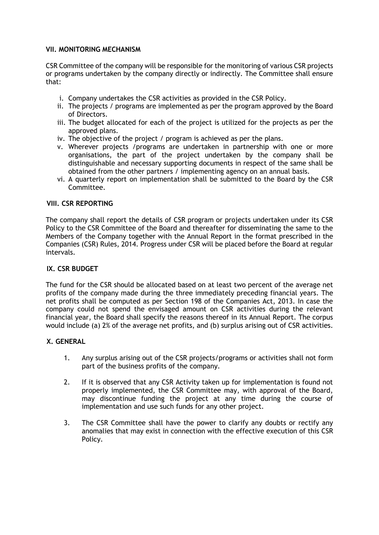## **VII. MONITORING MECHANISM**

CSR Committee of the company will be responsible for the monitoring of various CSR projects or programs undertaken by the company directly or indirectly. The Committee shall ensure that:

- i. Company undertakes the CSR activities as provided in the CSR Policy.
- ii. The projects / programs are implemented as per the program approved by the Board of Directors.
- iii. The budget allocated for each of the project is utilized for the projects as per the approved plans.
- iv. The objective of the project / program is achieved as per the plans.
- v. Wherever projects /programs are undertaken in partnership with one or more organisations, the part of the project undertaken by the company shall be distinguishable and necessary supporting documents in respect of the same shall be obtained from the other partners / implementing agency on an annual basis.
- vi. A quarterly report on implementation shall be submitted to the Board by the CSR Committee.

## **VIII. CSR REPORTING**

The company shall report the details of CSR program or projects undertaken under its CSR Policy to the CSR Committee of the Board and thereafter for disseminating the same to the Members of the Company together with the Annual Report in the format prescribed in the Companies (CSR) Rules, 2014. Progress under CSR will be placed before the Board at regular intervals.

## **IX. CSR BUDGET**

The fund for the CSR should be allocated based on at least two percent of the average net profits of the company made during the three immediately preceding financial years. The net profits shall be computed as per Section 198 of the Companies Act, 2013. In case the company could not spend the envisaged amount on CSR activities during the relevant financial year, the Board shall specify the reasons thereof in its Annual Report. The corpus would include (a) 2% of the average net profits, and (b) surplus arising out of CSR activities.

## **X. GENERAL**

- 1. Any surplus arising out of the CSR projects/programs or activities shall not form part of the business profits of the company.
- 2. If it is observed that any CSR Activity taken up for implementation is found not properly implemented, the CSR Committee may, with approval of the Board, may discontinue funding the project at any time during the course of implementation and use such funds for any other project.
- 3. The CSR Committee shall have the power to clarify any doubts or rectify any anomalies that may exist in connection with the effective execution of this CSR Policy.